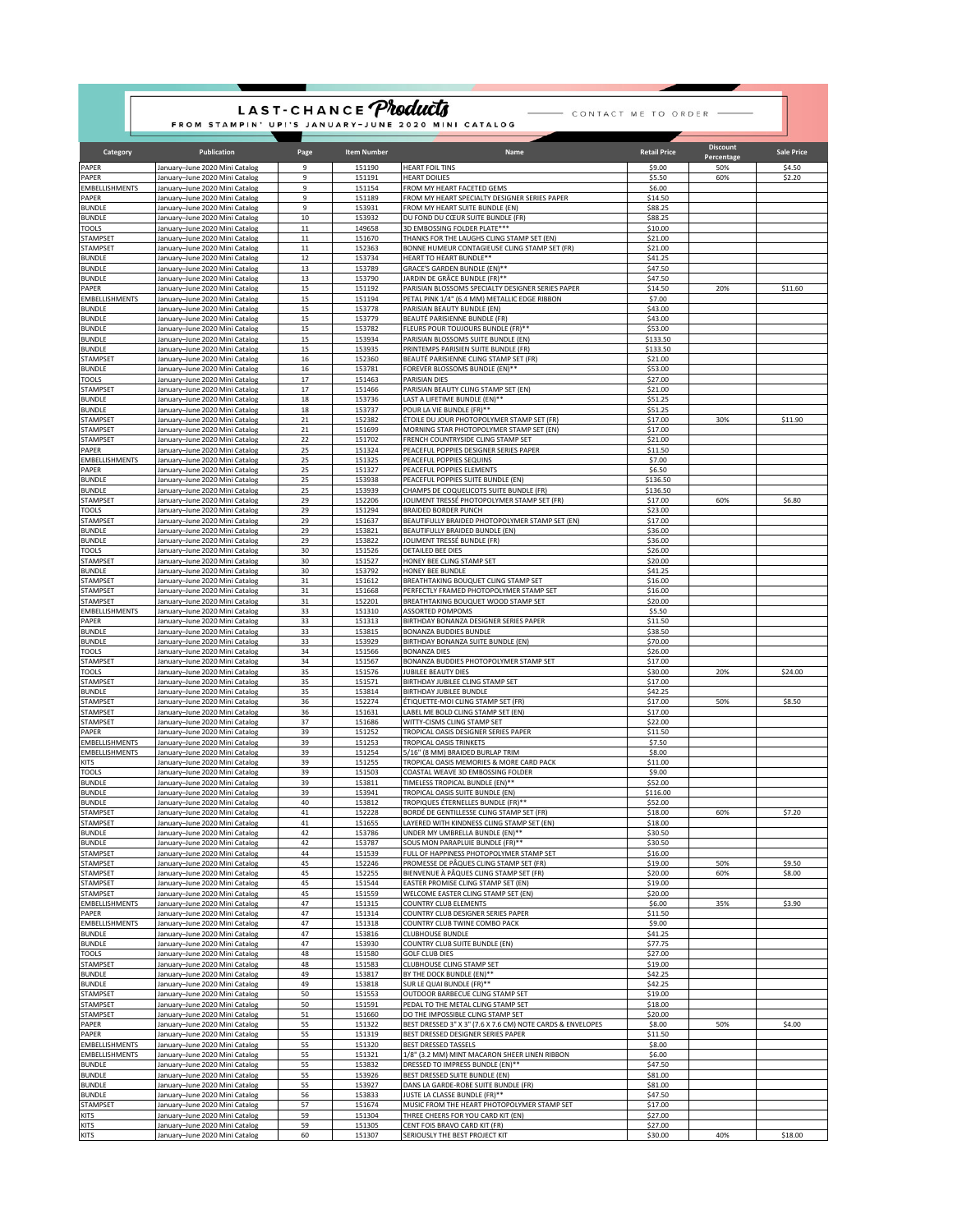| LAST-CHANCE <i>Products</i><br>- CONTACT ME TO ORDER -<br>FROM STAMPIN' UP!'S JANUARY-JUNE 2020 MINI CATALOG |                                                                  |                  |                    |                                                                                                 |                     |                   |                   |  |  |  |  |  |
|--------------------------------------------------------------------------------------------------------------|------------------------------------------------------------------|------------------|--------------------|-------------------------------------------------------------------------------------------------|---------------------|-------------------|-------------------|--|--|--|--|--|
| Category                                                                                                     | <b>Publication</b>                                               | Page             | <b>Item Number</b> | Name                                                                                            | <b>Retail Price</b> | <b>Discount</b>   | <b>Sale Price</b> |  |  |  |  |  |
| PAPER                                                                                                        | January-June 2020 Mini Catalog                                   | 9                | 151190             | <b>HEART FOIL TINS</b>                                                                          | \$9.00              | Percentage<br>50% | \$4.50            |  |  |  |  |  |
| PAPER                                                                                                        | January-June 2020 Mini Catalog                                   | 9                | 151191             | <b>HEART DOILIES</b>                                                                            | \$5.50              | 60%               | \$2.20            |  |  |  |  |  |
| <b>EMBELLISHMENTS</b>                                                                                        | January-June 2020 Mini Catalog                                   | 9                | 151154             | FROM MY HEART FACETED GEMS                                                                      | \$6.00              |                   |                   |  |  |  |  |  |
| PAPER<br><b>BUNDLE</b>                                                                                       | January-June 2020 Mini Catalog<br>January-June 2020 Mini Catalog | 9<br>9           | 151189<br>153931   | FROM MY HEART SPECIALTY DESIGNER SERIES PAPER<br>FROM MY HEART SUITE BUNDLE (EN)                | \$14.50<br>\$88.25  |                   |                   |  |  |  |  |  |
| <b>BUNDLE</b>                                                                                                | January-June 2020 Mini Catalog                                   | 10               | 153932             | DU FOND DU CŒUR SUITE BUNDLE (FR)                                                               | \$88.25             |                   |                   |  |  |  |  |  |
| <b>TOOLS</b>                                                                                                 | lanuary-June 2020 Mini Catalog                                   | $11\,$           | 149658             | 3D EMBOSSING FOLDER PLATE***                                                                    | \$10.00             |                   |                   |  |  |  |  |  |
| STAMPSET<br>STAMPSET                                                                                         | January-June 2020 Mini Catalog<br>lanuary-June 2020 Mini Catalog | $11\,$<br>$11\,$ | 151670<br>152363   | THANKS FOR THE LAUGHS CLING STAMP SET (EN)<br>BONNE HUMEUR CONTAGIEUSE CLING STAMP SET (FR)     | \$21.00<br>\$21.00  |                   |                   |  |  |  |  |  |
| <b>BUNDLE</b>                                                                                                | January-June 2020 Mini Catalog                                   | 12               | 153734             | HEART TO HEART BUNDLE**                                                                         | \$41.25             |                   |                   |  |  |  |  |  |
| <b>BUNDLE</b>                                                                                                | January-June 2020 Mini Catalog                                   | 13               | 153789             | GRACE'S GARDEN BUNDLE (EN)**                                                                    | \$47.50             |                   |                   |  |  |  |  |  |
| <b>BUNDLE</b><br>PAPER                                                                                       | January-June 2020 Mini Catalog<br>January-June 2020 Mini Catalog | 13<br>15         | 153790<br>151192   | JARDIN DE GRÂCE BUNDLE (FR)**<br>PARISIAN BLOSSOMS SPECIALTY DESIGNER SERIES PAPER              | \$47.50<br>\$14.50  | 20%               | \$11.60           |  |  |  |  |  |
| <b>EMBELLISHMENTS</b>                                                                                        | January-June 2020 Mini Catalog                                   | 15               | 151194             | PETAL PINK 1/4" (6.4 MM) METALLIC EDGE RIBBON                                                   | \$7.00              |                   |                   |  |  |  |  |  |
| <b>BUNDLE</b>                                                                                                | January-June 2020 Mini Catalog                                   | 15               | 153778             | PARISIAN BEAUTY BUNDLE (EN)                                                                     | \$43.00             |                   |                   |  |  |  |  |  |
| <b>BUNDLE</b><br><b>BUNDLE</b>                                                                               | January-June 2020 Mini Catalog<br>January-June 2020 Mini Catalog | 15<br>15         | 153779<br>153782   | BEAUTÉ PARISIENNE BUNDLE (FR)<br>FLEURS POUR TOUJOURS BUNDLE (FR)**                             | \$43.00<br>\$53.00  |                   |                   |  |  |  |  |  |
| <b>BUNDLE</b>                                                                                                | January-June 2020 Mini Catalog                                   | 15               | 153934             | PARISIAN BLOSSOMS SUITE BUNDLE (EN)                                                             | \$133.50            |                   |                   |  |  |  |  |  |
| <b>BUNDLE</b>                                                                                                | January-June 2020 Mini Catalog                                   | 15               | 153935             | PRINTEMPS PARISIEN SUITE BUNDLE (FR)                                                            | \$133.50            |                   |                   |  |  |  |  |  |
| TAMPSET                                                                                                      | lanuary-June 2020 Mini Catalog                                   | $16\,$           | 152360             | BEAUTÉ PARISIENNE CLING STAMP SET (FR)                                                          | \$21.00             |                   |                   |  |  |  |  |  |
| <b>BUNDLE</b><br>TOOLS                                                                                       | lanuary-June 2020 Mini Catalog<br>January-June 2020 Mini Catalog | 16<br>17         | 153781<br>151463   | FOREVER BLOSSOMS BUNDLE (EN)**<br>PARISIAN DIES                                                 | \$53.00<br>\$27.00  |                   |                   |  |  |  |  |  |
| STAMPSET                                                                                                     | January-June 2020 Mini Catalog                                   | $17\,$           | 151466             | PARISIAN BEAUTY CLING STAMP SET (EN)                                                            | \$21.00             |                   |                   |  |  |  |  |  |
| <b>BUNDLE</b>                                                                                                | January-June 2020 Mini Catalog                                   | 18               | 153736             | LAST A LIFETIME BUNDLE (EN)**                                                                   | \$51.25             |                   |                   |  |  |  |  |  |
| <b>BUNDLE</b><br><b>TAMPSET</b>                                                                              | January-June 2020 Mini Catalog<br>lanuary-June 2020 Mini Catalog | 18<br>${\bf 21}$ | 153737<br>152382   | POUR LA VIE BUNDLE (FR)**<br>ÉTOILE DU JOUR PHOTOPOLYMER STAMP SET (FR)                         | \$51.25<br>\$17.00  | 30%               | \$11.90           |  |  |  |  |  |
| STAMPSET                                                                                                     | January-June 2020 Mini Catalog                                   | 21               | 151699             | MORNING STAR PHOTOPOLYMER STAMP SET (EN)                                                        | \$17.00             |                   |                   |  |  |  |  |  |
| <b>STAMPSET</b>                                                                                              | January-June 2020 Mini Catalog                                   | 22               | 151702             | FRENCH COUNTRYSIDE CLING STAMP SET                                                              | \$21.00             |                   |                   |  |  |  |  |  |
| PAPER<br><b>EMBELLISHMENTS</b>                                                                               | January-June 2020 Mini Catalog<br>January-June 2020 Mini Catalog | 25<br>25         | 151324<br>151325   | PEACEFUL POPPIES DESIGNER SERIES PAPER<br>PEACEFUL POPPIES SEQUINS                              | \$11.50<br>\$7.00   |                   |                   |  |  |  |  |  |
| PAPER                                                                                                        | January-June 2020 Mini Catalog                                   | 25               | 151327             | PEACEFUL POPPIES ELEMENTS                                                                       | \$6.50              |                   |                   |  |  |  |  |  |
| BUNDLE                                                                                                       | January-June 2020 Mini Catalog                                   | 25               | 153938             | PEACEFUL POPPIES SUITE BUNDLE (EN)                                                              | \$136.50            |                   |                   |  |  |  |  |  |
| <b>BUNDLE</b>                                                                                                | January-June 2020 Mini Catalog                                   | 25               | 153939             | CHAMPS DE COQUELICOTS SUITE BUNDLE (FR)                                                         | \$136.50            |                   |                   |  |  |  |  |  |
| <b>STAMPSET</b><br>TOOLS                                                                                     | lanuary-June 2020 Mini Catalog<br>January-June 2020 Mini Catalog | 29<br>29         | 152206<br>151294   | JOLIMENT TRESSÉ PHOTOPOLYMER STAMP SET (FR)<br><b>BRAIDED BORDER PUNCH</b>                      | \$17.00<br>\$23.00  | 60%               | \$6.80            |  |  |  |  |  |
| STAMPSET                                                                                                     | January-June 2020 Mini Catalog                                   | 29               | 151637             | BEAUTIFULLY BRAIDED PHOTOPOLYMER STAMP SET (EN)                                                 | \$17.00             |                   |                   |  |  |  |  |  |
| <b>BUNDLE</b>                                                                                                | January-June 2020 Mini Catalog                                   | 29               | 153821             | BEAUTIFULLY BRAIDED BUNDLE (EN)                                                                 | \$36.00             |                   |                   |  |  |  |  |  |
| <b>BUNDLE</b><br>TOOLS                                                                                       | January-June 2020 Mini Catalog<br>January-June 2020 Mini Catalog | 29<br>30         | 153822<br>151526   | JOLIMENT TRESSÉ BUNDLE (FR)<br>DETAILED BEE DIES                                                | \$36.00<br>\$26.00  |                   |                   |  |  |  |  |  |
| <b>STAMPSET</b>                                                                                              | January-June 2020 Mini Catalog                                   | 30               | 151527             | HONEY BEE CLING STAMP SET                                                                       | \$20.00             |                   |                   |  |  |  |  |  |
| <b>BUNDLE</b>                                                                                                | January-June 2020 Mini Catalog                                   | 30               | 153792             | HONEY BEE BUNDLE                                                                                | \$41.25             |                   |                   |  |  |  |  |  |
| STAMPSET                                                                                                     | January-June 2020 Mini Catalog                                   | 31               | 151612             | BREATHTAKING BOUQUET CLING STAMP SET                                                            | \$16.00             |                   |                   |  |  |  |  |  |
| STAMPSET<br><b>STAMPSET</b>                                                                                  | January-June 2020 Mini Catalog<br>January-June 2020 Mini Catalog | 31<br>31         | 151668<br>152201   | PERFECTLY FRAMED PHOTOPOLYMER STAMP SET<br>BREATHTAKING BOUQUET WOOD STAMP SET                  | \$16.00<br>\$20.00  |                   |                   |  |  |  |  |  |
| <b>MBELLISHMENTS</b>                                                                                         | lanuary-June 2020 Mini Catalog                                   | 33               | 151310             | <b>ASSORTED POMPOMS</b>                                                                         | \$5.50              |                   |                   |  |  |  |  |  |
| PAPER                                                                                                        | January-June 2020 Mini Catalog                                   | 33<br>33         | 151313             | BIRTHDAY BONANZA DESIGNER SERIES PAPER<br><b>BONANZA BUDDIES BUNDLE</b>                         | \$11.50             |                   |                   |  |  |  |  |  |
| BUNDLE<br><b>BUNDLE</b>                                                                                      | January-June 2020 Mini Catalog<br>January-June 2020 Mini Catalog | 33               | 153815<br>153929   | BIRTHDAY BONANZA SUITE BUNDLE (EN)                                                              | \$38.50<br>\$70.00  |                   |                   |  |  |  |  |  |
| TOOLS                                                                                                        | January-June 2020 Mini Catalog                                   | 34               | 151566             | <b>BONANZA DIES</b>                                                                             | \$26.00             |                   |                   |  |  |  |  |  |
| <b>STAMPSET</b>                                                                                              | January-June 2020 Mini Catalog                                   | 34<br>35         | 151567             | BONANZA BUDDIES PHOTOPOLYMER STAMP SET                                                          | \$17.00             | 20%               | \$24.00           |  |  |  |  |  |
| TOOLS<br>STAMPSET                                                                                            | lanuary-June 2020 Mini Catalog<br>January-June 2020 Mini Catalog | 35               | 151576<br>151571   | JUBILEE BEAUTY DIES<br>BIRTHDAY JUBILEE CLING STAMP SET                                         | \$30.00<br>\$17.00  |                   |                   |  |  |  |  |  |
| <b>BUNDLE</b>                                                                                                | January-June 2020 Mini Catalog                                   | 35               | 153814             | BIRTHDAY JUBILEE BUNDLE                                                                         | \$42.25             |                   |                   |  |  |  |  |  |
| STAMPSET                                                                                                     | January-June 2020 Mini Catalog                                   | 36               | 152274             | ÉTIQUETTE-MOI CLING STAMP SET (FR)                                                              | \$17.00             | 50%               | \$8.50            |  |  |  |  |  |
| <b>STAMPSET</b><br>STAMPSET                                                                                  | January-June 2020 Mini Catalog<br>January-June 2020 Mini Catalog | 36<br>37         | 151631<br>151686   | LABEL ME BOLD CLING STAMP SET (EN)<br>WITTY-CISMS CLING STAMP SET                               | \$17.00<br>\$22.00  |                   |                   |  |  |  |  |  |
| PAPER                                                                                                        | lanuary-June 2020 Mini Catalog                                   | 39               | 151252             | TROPICAL OASIS DESIGNER SERIES PAPER                                                            | \$11.50             |                   |                   |  |  |  |  |  |
| <b>EMBELLISHMENTS</b>                                                                                        | January-June 2020 Mini Catalog                                   | 39               | 151253             | <b>TROPICAL OASIS TRINKETS</b><br>5/16" (8 MM) BRAIDED BURLAP TRIM                              | \$7.50              |                   |                   |  |  |  |  |  |
| <b>EMBELLISHMENTS</b><br><b>KITS</b>                                                                         | January-June 2020 Mini Catalog<br>January-June 2020 Mini Catalog | 39<br>39         | 151254<br>151255   | TROPICAL OASIS MEMORIES & MORE CARD PACK                                                        | \$8.00<br>\$11.00   |                   |                   |  |  |  |  |  |
| <b>TOOLS</b>                                                                                                 | January-June 2020 Mini Catalog                                   | 39               | 151503             | COASTAL WEAVE 3D EMBOSSING FOLDER                                                               | \$9.00              |                   |                   |  |  |  |  |  |
| <b>BUNDLE</b>                                                                                                | January-June 2020 Mini Catalog                                   | 39               | 153811             | TIMELESS TROPICAL BUNDLE (EN)**                                                                 | \$52.00             |                   |                   |  |  |  |  |  |
| <b>BUNDLE</b><br><b>BUNDLE</b>                                                                               | January-June 2020 Mini Catalog<br>January-June 2020 Mini Catalog | 39<br>40         | 153941<br>153812   | TROPICAL OASIS SUITE BUNDLE (EN)<br>TROPIQUES ÉTERNELLES BUNDLE (FR)**                          | \$116.00<br>\$52.00 |                   |                   |  |  |  |  |  |
| <b>STAMPSET</b>                                                                                              | January-June 2020 Mini Catalog                                   | 41               | 152228             | BORDÉ DE GENTILLESSE CLING STAMP SET (FR)                                                       | \$18.00             | 60%               | \$7.20            |  |  |  |  |  |
| <b>STAMPSET</b>                                                                                              | January-June 2020 Mini Catalog                                   | 41               | 151655             | LAYERED WITH KINDNESS CLING STAMP SET (EN)                                                      | \$18.00             |                   |                   |  |  |  |  |  |
| <b>BUNDLE</b><br><b>BUNDLE</b>                                                                               | January-June 2020 Mini Catalog<br>January-June 2020 Mini Catalog | 42<br>42         | 153786<br>153787   | UNDER MY UMBRELLA BUNDLE (EN)**<br>SOUS MON PARAPLUIE BUNDLE (FR)**                             | \$30.50<br>\$30.50  |                   |                   |  |  |  |  |  |
| STAMPSET                                                                                                     | January-June 2020 Mini Catalog                                   | 44               | 151539             | FULL OF HAPPINESS PHOTOPOLYMER STAMP SET                                                        | \$16.00             |                   |                   |  |  |  |  |  |
| STAMPSET                                                                                                     | January-June 2020 Mini Catalog                                   | 45               | 152246             | PROMESSE DE PÂQUES CLING STAMP SET (FR)                                                         | \$19.00             | 50%               | \$9.50            |  |  |  |  |  |
| STAMPSET                                                                                                     | lanuary-June 2020 Mini Catalog                                   | 45               | 152255             | BIENVENUE À PÂQUES CLING STAMP SET (FR)                                                         | \$20.00             | 60%               | \$8.00            |  |  |  |  |  |
| STAMPSET<br>STAMPSET                                                                                         | lanuary-June 2020 Mini Catalog<br>January-June 2020 Mini Catalog | 45<br>45         | 151544<br>151559   | EASTER PROMISE CLING STAMP SET (EN)<br>WELCOME EASTER CLING STAMP SET (EN)                      | \$19.00<br>\$20.00  |                   |                   |  |  |  |  |  |
| <b>EMBELLISHMENTS</b>                                                                                        | January-June 2020 Mini Catalog                                   | 47               | 151315             | <b>COUNTRY CLUB ELEMENTS</b>                                                                    | \$6.00              | 35%               | \$3.90            |  |  |  |  |  |
| PAPER                                                                                                        | January-June 2020 Mini Catalog                                   | 47               | 151314             | COUNTRY CLUB DESIGNER SERIES PAPER                                                              | \$11.50             |                   |                   |  |  |  |  |  |
| EMBELLISHMENTS<br><b>BUNDLE</b>                                                                              | January-June 2020 Mini Catalog<br>January-June 2020 Mini Catalog | 47<br>47         | 151318<br>153816   | COUNTRY CLUB TWINE COMBO PACK<br><b>CLUBHOUSE BUNDLE</b>                                        | \$9.00<br>\$41.25   |                   |                   |  |  |  |  |  |
| <b>BUNDLE</b>                                                                                                | January-June 2020 Mini Catalog                                   | 47               | 153930             | <b>COUNTRY CLUB SUITE BUNDLE (EN)</b>                                                           | \$77.75             |                   |                   |  |  |  |  |  |
| <b>TOOLS</b>                                                                                                 | January-June 2020 Mini Catalog                                   | 48               | 151580             | <b>GOLF CLUB DIES</b>                                                                           | \$27.00             |                   |                   |  |  |  |  |  |
| STAMPSET<br><b>BUNDLE</b>                                                                                    | January-June 2020 Mini Catalog<br>January-June 2020 Mini Catalog | 48<br>49         | 151583<br>153817   | CLUBHOUSE CLING STAMP SET<br>BY THE DOCK BUNDLE (EN)**                                          | \$19.00<br>\$42.25  |                   |                   |  |  |  |  |  |
| <b>BUNDLE</b>                                                                                                | lanuary-June 2020 Mini Catalog                                   | 49               | 153818             | SUR LE QUAI BUNDLE (FR)**                                                                       | \$42.25             |                   |                   |  |  |  |  |  |
| STAMPSET                                                                                                     | lanuary-June 2020 Mini Catalog                                   | 50               | 151553             | OUTDOOR BARBECUE CLING STAMP SET                                                                | \$19.00             |                   |                   |  |  |  |  |  |
| STAMPSET                                                                                                     | January-June 2020 Mini Catalog                                   | 50               | 151591             | PEDAL TO THE METAL CLING STAMP SET                                                              | \$18.00             |                   |                   |  |  |  |  |  |
| STAMPSET<br>PAPER                                                                                            | January-June 2020 Mini Catalog<br>January-June 2020 Mini Catalog | ${\bf 51}$<br>55 | 151660<br>151322   | DO THE IMPOSSIBLE CLING STAMP SET<br>BEST DRESSED 3" X 3" (7.6 X 7.6 CM) NOTE CARDS & ENVELOPES | \$20.00<br>\$8.00   | 50%               | \$4.00            |  |  |  |  |  |
| PAPER                                                                                                        | January-June 2020 Mini Catalog                                   | 55               | 151319             | BEST DRESSED DESIGNER SERIES PAPER                                                              | \$11.50             |                   |                   |  |  |  |  |  |
| <b>EMBELLISHMENTS</b>                                                                                        | January-June 2020 Mini Catalog                                   | 55               | 151320             | <b>BEST DRESSED TASSELS</b>                                                                     | \$8.00              |                   |                   |  |  |  |  |  |
| <b>EMBELLISHMENTS</b><br><b>BUNDLE</b>                                                                       | January-June 2020 Mini Catalog<br>January-June 2020 Mini Catalog | 55<br>55         | 151321<br>153832   | 1/8" (3.2 MM) MINT MACARON SHEER LINEN RIBBON<br>DRESSED TO IMPRESS BUNDLE (EN)**               | \$6.00<br>\$47.50   |                   |                   |  |  |  |  |  |
| <b>BUNDLE</b>                                                                                                | January-June 2020 Mini Catalog                                   | 55               | 153926             | BEST DRESSED SUITE BUNDLE (EN)                                                                  | \$81.00             |                   |                   |  |  |  |  |  |
| <b>BUNDLE</b>                                                                                                | January-June 2020 Mini Catalog                                   | 55               | 153927             | DANS LA GARDE-ROBE SUITE BUNDLE (FR)                                                            | \$81.00             |                   |                   |  |  |  |  |  |
| <b>BUNDLE</b>                                                                                                | January-June 2020 Mini Catalog                                   | 56               | 153833             | JUSTE LA CLASSE BUNDLE (FR)**                                                                   | \$47.50             |                   |                   |  |  |  |  |  |
| STAMPSET<br>KITS                                                                                             | January-June 2020 Mini Catalog<br>January-June 2020 Mini Catalog | 57<br>59         | 151674<br>151304   | MUSIC FROM THE HEART PHOTOPOLYMER STAMP SET<br>THREE CHEERS FOR YOU CARD KIT (EN)               | \$17.00<br>\$27.00  |                   |                   |  |  |  |  |  |
| KITS                                                                                                         | lanuary-June 2020 Mini Catalog                                   | 59               | 151305             | CENT FOIS BRAVO CARD KIT (FR)                                                                   | \$27.00             |                   |                   |  |  |  |  |  |
| <b>KITS</b>                                                                                                  | January-June 2020 Mini Catalog                                   | 60               | 151307             | SERIOUSLY THE BEST PROJECT KIT                                                                  | \$30.00             | 40%               | \$18.00           |  |  |  |  |  |